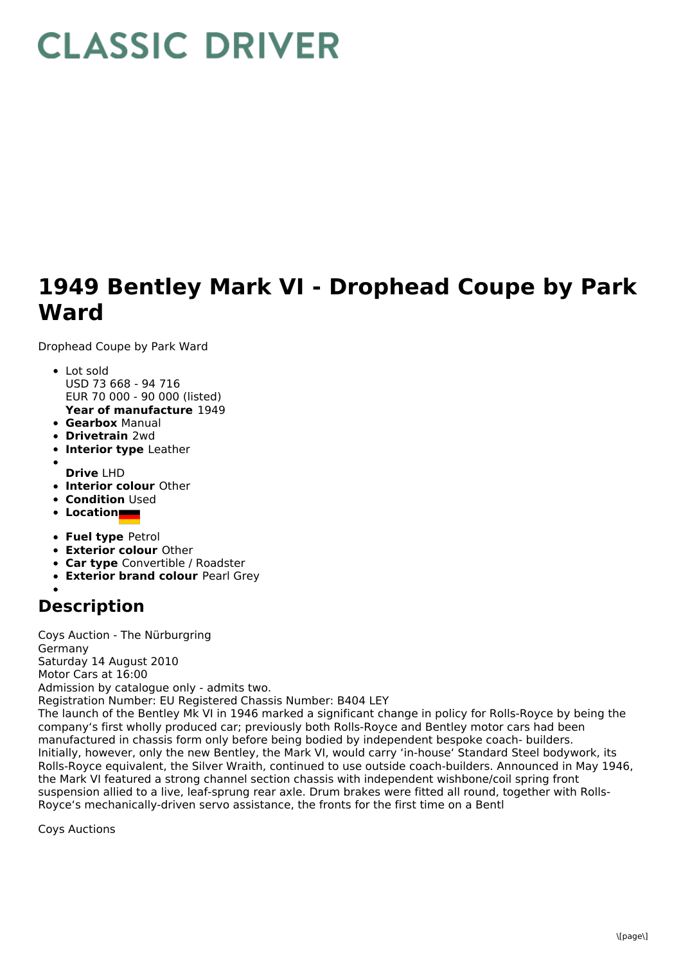## **CLASSIC DRIVER**

## **1949 Bentley Mark VI - Drophead Coupe by Park Ward**

suspension allied to a live, leaf-sprung rear axle. Drum brakes were fitted all round, together with Rolls-

Royce's mechanically-driven servo assistance, the fronts for the first time on a Bentl

Drophead Coupe by Park Ward

- **Year of manufacture** 1949 • Lot sold USD 73 668 - 94 716 EUR 70 000 - 90 000 (listed)
- **Gearbox** Manual
- **Drivetrain** 2wd
- **Interior type** Leather
- **Drive** LHD
- **Interior colour** Other
- **Condition** Used
- **Location**
- **Fuel type** Petrol
- **Exterior colour** Other
- **Car type** Convertible / Roadster
- **Exterior brand colour** Pearl Grey

## **Description**

Coys Auction - The Nürburgring Germany Saturday 14 August 2010 Motor Cars at 16:00 Admission by catalogue only - admits two. Registration Number: EU Registered Chassis Number: B404 LEY The launch of the Bentley Mk VI in 1946 marked a significant change in policy for Rolls-Royce by being the company's first wholly produced car; previously both Rolls-Royce and Bentley motor cars had been manufactured in chassis form only before being bodied by independent bespoke coach- builders. Initially, however, only the new Bentley, the Mark VI, would carry 'in-house' Standard Steel bodywork, its Rolls-Royce equivalent, the Silver Wraith, continued to use outside coach-builders. Announced in May 1946, the Mark VI featured a strong channel section chassis with independent wishbone/coil spring front

Coys Auctions